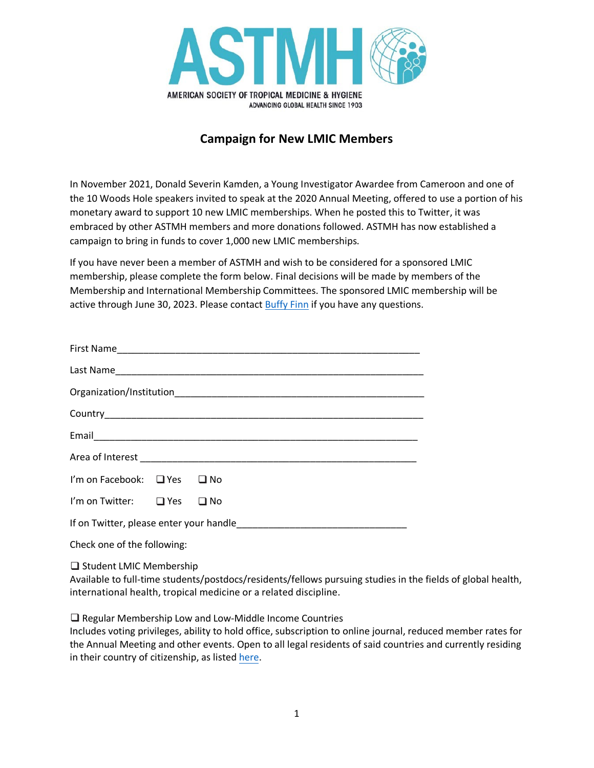

## **Campaign for New LMIC Members**

In November 2021, Donald Severin Kamden, a Young Investigator Awardee from Cameroon and one of the 10 Woods Hole speakers invited to speak at the 2020 Annual Meeting, offered to use a portion of his monetary award to support 10 new LMIC memberships. When he posted this to Twitter, it was embraced by other ASTMH members and more donations followed. ASTMH has now established a campaign to bring in funds to cover 1,000 new LMIC memberships.

If you have never been a member of ASTMH and wish to be considered for a sponsored LMIC membership, please complete the form below. Final decisions will be made by members of the Membership and International Membership Committees. The sponsored LMIC membership will be active through June 30, 2023. Please contact [Buffy Finn](mailto:bfinn@astmh.org) if you have any questions.

| I'm on Facebook: □ Yes □ No |  |              |
|-----------------------------|--|--------------|
| I'm on Twitter: $\Box$ Yes  |  | $\square$ No |
|                             |  |              |
| Check one of the following: |  |              |

Student LMIC Membership

Available to full-time students/postdocs/residents/fellows pursuing studies in the fields of global health, international health, tropical medicine or a related discipline.

□ Regular Membership Low and Low-Middle Income Countries

Includes voting privileges, ability to hold office, subscription to online journal, reduced member rates for the Annual Meeting and other events. Open to all legal residents of said countries and currently residing in their country of citizenship, as listed [here.](file://ad.astmh.org/astmh-dfs/Data/General%20Administration/Membership/International%20Rates/International%20Countries%20as%20of%201.2022.pdf)